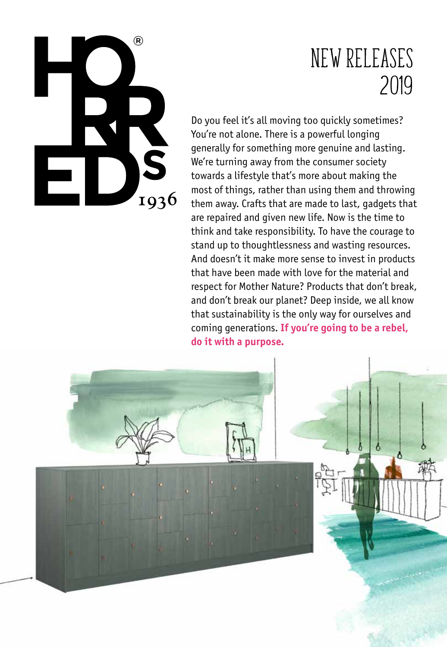

# New releases 2019

Do you feel it's all moving too quickly sometimes? You're not alone. There is a powerful longing generally for something more genuine and lasting. We're turning away from the consumer society towards a lifestyle that's more about making the most of things, rather than using them and throwing them away. Crafts that are made to last, gadgets that are repaired and given new life. Now is the time to think and take responsibility. To have the courage to stand up to thoughtlessness and wasting resources. And doesn't it make more sense to invest in products that have been made with love for the material and respect for Mother Nature? Products that don't break, and don't break our planet? Deep inside, we all know that sustainability is the only way for ourselves and coming generations. **If you're going to be a rebel, do it with a purpose.**

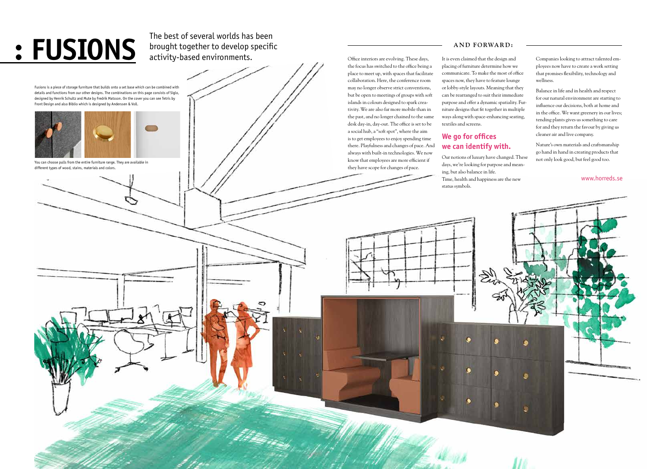**• FUSIONS** The best of several worlds has been<br>activity-based environments. brought together to develop specific activity-based environments. These days, activity-based environments.

the focus has switched to the office being a place to meet up, with spaces that facilitate collaboration. Here, the conference room may no longer observe strict conventions, but be open to meetings of groups with soft islands in colours designed to spark creativity. We are also far more mobile than in the past, and no longer chained to the same desk day-in, day-out. The office is set to be a social hub, a "soft spot", where the aim is to get employees to enjoy spending time there. Playfulness and changes of pace. And always with built-in technologies. We now know that employees are more efficient if they have scope for changes of pace.

It is even claimed that the design and placing of furniture determine how we communicate. To make the most of office spaces now, they have to feature lounge or lobby-style layouts. Meaning that they can be rearranged to suit their immediate purpose and offer a dynamic spatiality. Furniture designs that fit together in multiple ways along with space-enhancing seating, textiles and screens.

## **We go for offices we can identify with.**

Our notions of luxury have changed. These days, we're looking for purpose and meaning, but also balance in life. Time, health and happiness are the new status symbols.

Companies looking to attract talented employees now have to create a work setting that promises flexibility, technology and wellness.

Balance in life and in health and respect for our natural environment are starting to influence our decisions, both at home and in the office. We want greenery in our lives; tending plants gives us something to care for and they return the favour by giving us cleaner air and live company.

Nature's own materials and craftsmanship go hand in hand in creating products that not only look good, but feel good too.

### **AND FORWARD:**

Fusions is a piece of storage furniture that builds onto a set base which can be combined with details and functions from our other designs. The combinations on this page consists of Siglo, designed by Henrik Schultz and Mute by Fredrik Matsson. On the cover you can see Tetris by Front Design and also Biblio which is designed by Anderssen & Voll.



You can choose pulls from the entire furniture range. They are available in different types of wood, stains, materials and colors.

### www.horreds.se